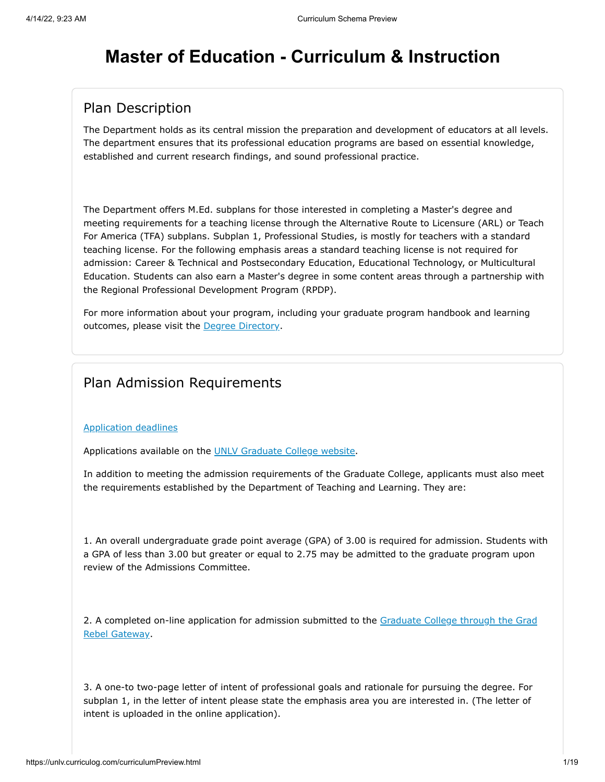# **Master of Education - Curriculum & Instruction**

## Plan Description

The Department holds as its central mission the preparation and development of educators at all levels. The department ensures that its professional education programs are based on essential knowledge, established and current research findings, and sound professional practice.

The Department offers M.Ed. subplans for those interested in completing a Master's degree and meeting requirements for a teaching license through the Alternative Route to Licensure (ARL) or Teach For America (TFA) subplans. Subplan 1, Professional Studies, is mostly for teachers with a standard teaching license. For the following emphasis areas a standard teaching license is not required for admission: Career & Technical and Postsecondary Education, Educational Technology, or Multicultural Education. Students can also earn a Master's degree in some content areas through a partnership with the Regional Professional Development Program (RPDP).

For more information about your program, including your graduate program handbook and learning outcomes, please visit the [Degree Directory](https://www.unlv.edu/degree/med-curriculum-instruction).

## Plan Admission Requirements

#### [Application deadlines](http://www.unlv.edu/graduatecollege/application-deadlines)

Applications available on the [UNLV Graduate College website.](http://graduatecollege.unlv.edu/admissions/)

In addition to meeting the admission requirements of the Graduate College, applicants must also meet the requirements established by the Department of Teaching and Learning. They are:

1. An overall undergraduate grade point average (GPA) of 3.00 is required for admission. Students with a GPA of less than 3.00 but greater or equal to 2.75 may be admitted to the graduate program upon review of the Admissions Committee.

[2. A completed on-line application for admission submitted to the Graduate College through the Grad](https://www.unlv.edu/graduatecollege/futurestudents) Rebel Gateway.

3. A one-to two-page letter of intent of professional goals and rationale for pursuing the degree. For subplan 1, in the letter of intent please state the emphasis area you are interested in. (The letter of intent is uploaded in the online application).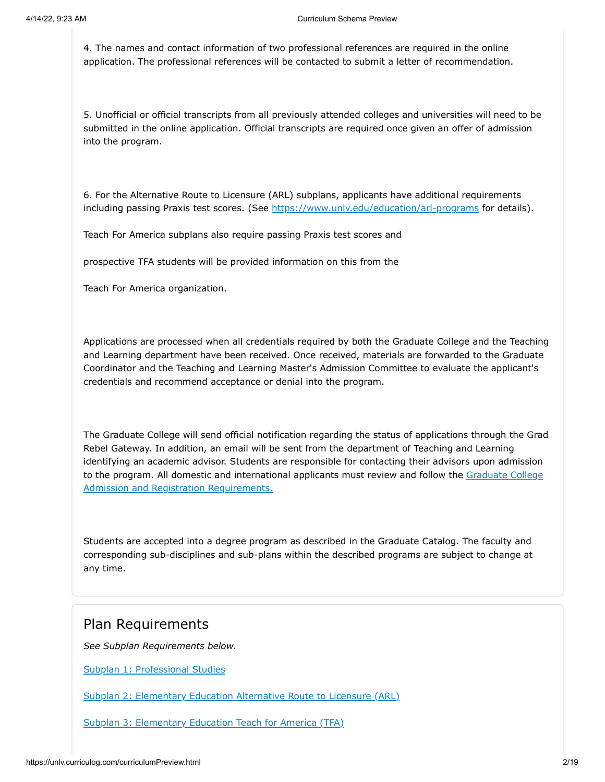4. The names and contact information of two professional references are required in the online application. The professional references will be contacted to submit a letter of recommendation.

5. Unofficial or official transcripts from all previously attended colleges and universities will need to be submitted in the online application. Official transcripts are required once given an offer of admission into the program.

6. For the Alternative Route to Licensure (ARL) subplans, applicants have additional requirements including passing Praxis test scores. (See<https://www.unlv.edu/education/arl-programs>for details).

Teach For America subplans also require passing Praxis test scores and

prospective TFA students will be provided information on this from the

Teach For America organization.

Applications are processed when all credentials required by both the Graduate College and the Teaching and Learning department have been received. Once received, materials are forwarded to the Graduate Coordinator and the Teaching and Learning Master's Admission Committee to evaluate the applicant's credentials and recommend acceptance or denial into the program.

The Graduate College will send official notification regarding the status of applications through the Grad Rebel Gateway. In addition, an email will be sent from the department of Teaching and Learning identifying an academic advisor. Students are responsible for contacting their advisors upon admission [to the program. All domestic and international applicants must review and follow the Graduate College](https://www.unlv.edu/graduatecollege/futurestudents) Admission and Registration Requirements.

Students are accepted into a degree program as described in the Graduate Catalog. The faculty and corresponding sub-disciplines and sub-plans within the described programs are subject to change at any time.

#### Plan Requirements

*See Subplan Requirements below.*

[Subplan 1: Professional Studies](#page-2-0)

[Subplan 2: Elementary Education Alternative Route to Licensure \(ARL\)](#page-4-0)

[Subplan 3: Elementary Education Teach for America \(TFA\)](#page-5-0)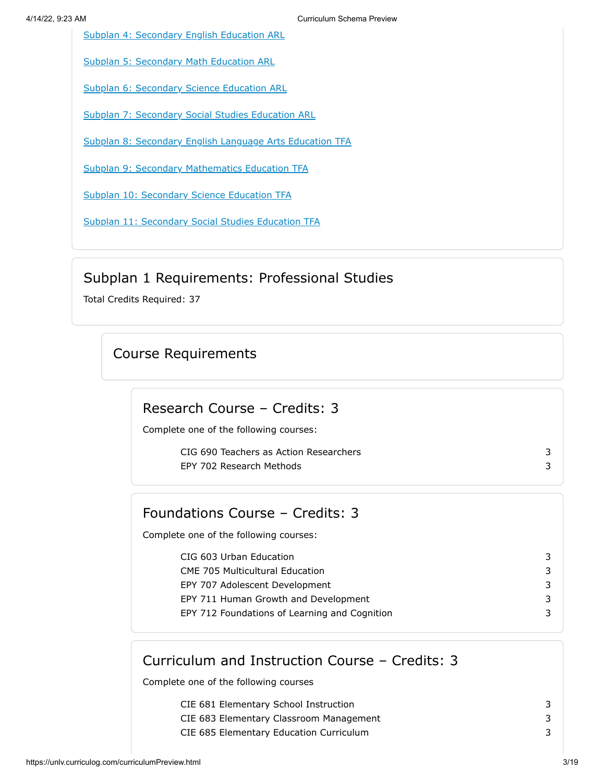[Subplan 4: Secondary English Education ARL](#page-7-0)

[Subplan 5: Secondary Math Education ARL](#page-8-0)

[Subplan 6: Secondary Science Education ARL](#page-10-0)

[Subplan 7: Secondary Social Studies Education ARL](#page-11-0)

[Subplan 8: Secondary English Language Arts Education TFA](#page-13-0)

[Subplan 9: Secondary Mathematics Education TFA](#page-14-0)

[Subplan 10: Secondary Science Education TFA](#page-15-0)

[Subplan 11: Secondary Social Studies Education TFA](#page-16-0)

## Subplan 1 Requirements: Professional Studies

<span id="page-2-0"></span>Total Credits Required: 37

## Course Requirements

## Research Course – Credits: 3

Complete one of the following courses:

CIG 690 Teachers as Action Researchers 3 EPY 702 Research Methods 3

#### Foundations Course – Credits: 3

Complete one of the following courses:

CIG 603 Urban Education 3 CME 705 Multicultural Education 3 EPY 707 Adolescent Development 3 EPY 711 Human Growth and Development 3 EPY 712 Foundations of Learning and Cognition 3

# Curriculum and Instruction Course – Credits: 3

Complete one of the following courses

- CIE 681 Elementary School Instruction 3
- CIE 683 Elementary Classroom Management 3
- CIE 685 Elementary Education Curriculum 3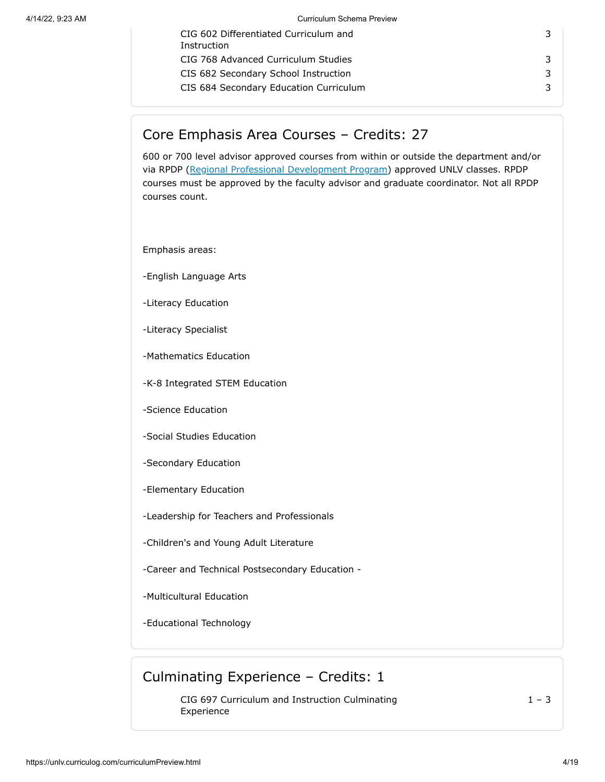| CIG 602 Differentiated Curriculum and<br>Instruction | 3 |
|------------------------------------------------------|---|
| CIG 768 Advanced Curriculum Studies                  | 3 |
| CIS 682 Secondary School Instruction                 | 3 |
| CIS 684 Secondary Education Curriculum               | 3 |
|                                                      |   |

## Core Emphasis Area Courses – Credits: 27

600 or 700 level advisor approved courses from within or outside the department and/or via RPDP [\(Regional Professional Development Program](https://www.unlv.edu/graduatecollege/rpdp)) approved UNLV classes. RPDP courses must be approved by the faculty advisor and graduate coordinator. Not all RPDP courses count.

Emphasis areas:

-English Language Arts

-Literacy Education

- -Literacy Specialist
- -Mathematics Education
- -K-8 Integrated STEM Education
- -Science Education
- -Social Studies Education
- -Secondary Education
- -Elementary Education
- -Leadership for Teachers and Professionals
- -Children's and Young Adult Literature
- -Career and Technical Postsecondary Education -
- -Multicultural Education
- -Educational Technology

#### Culminating Experience – Credits: 1

CIG 697 Curriculum and Instruction Culminating Experience

 $1 - 3$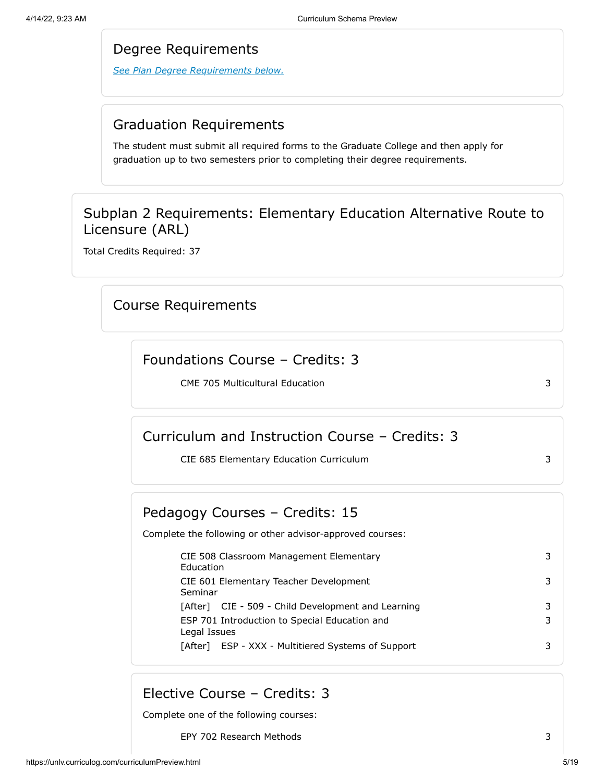#### Degree Requirements

*See Plan Degree Requirements below.*

## Graduation Requirements

The student must submit all required forms to the Graduate College and then apply for graduation up to two semesters prior to completing their degree requirements.

## Subplan 2 Requirements: Elementary Education Alternative Route to Licensure (ARL)

<span id="page-4-0"></span>Total Credits Required: 37

## Course Requirements

#### Foundations Course – Credits: 3

CME 705 Multicultural Education 3

## Curriculum and Instruction Course – Credits: 3

CIE 685 Elementary Education Curriculum 3

## Pedagogy Courses – Credits: 15

Complete the following or other advisor-approved courses:

CIE 508 Classroom Management Elementary Education CIE 601 Elementary Teacher Development Seminar [After] CIE - 509 - Child Development and Learning 3 ESP 701 Introduction to Special Education and Legal Issues [After] ESP - XXX - Multitiered Systems of Support 3

## Elective Course – Credits: 3

Complete one of the following courses:

EPY 702 Research Methods 3

3

3

3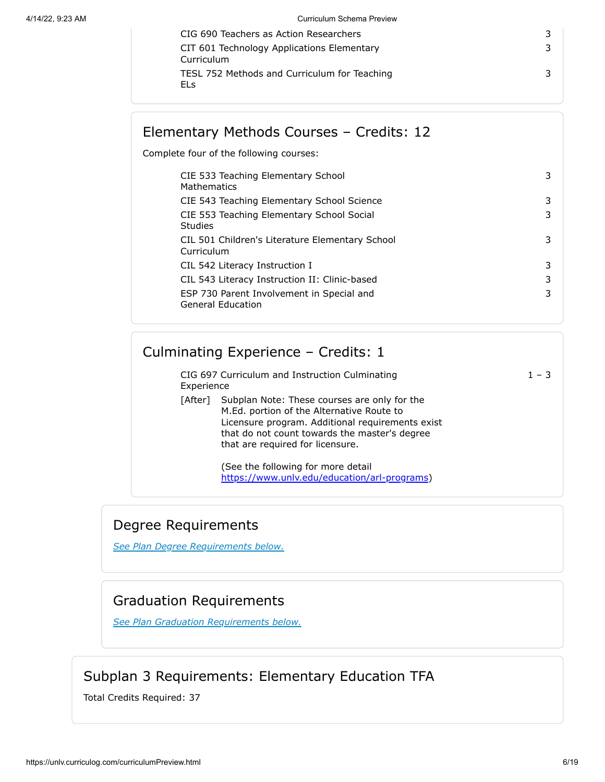| CIG 690 Teachers as Action Researchers                   |  |
|----------------------------------------------------------|--|
| CIT 601 Technology Applications Elementary<br>Curriculum |  |
| TESL 752 Methods and Curriculum for Teaching<br>FI s     |  |

# Elementary Methods Courses – Credits: 12

Complete four of the following courses:

| CIE 533 Teaching Elementary School<br>Mathematics                     | 3 |
|-----------------------------------------------------------------------|---|
| CIE 543 Teaching Elementary School Science                            | 3 |
| CIE 553 Teaching Elementary School Social<br>Studies                  | 3 |
| CIL 501 Children's Literature Elementary School<br>Curriculum         | 3 |
| CIL 542 Literacy Instruction I                                        | 3 |
| CIL 543 Literacy Instruction II: Clinic-based                         | 3 |
| ESP 730 Parent Involvement in Special and<br><b>General Education</b> | 3 |

|            | Culminating Experience - Credits: 1                                                                                                                                                                                                |         |
|------------|------------------------------------------------------------------------------------------------------------------------------------------------------------------------------------------------------------------------------------|---------|
| Experience | CIG 697 Curriculum and Instruction Culminating                                                                                                                                                                                     | $1 - 3$ |
| [After]    | Subplan Note: These courses are only for the<br>M.Ed. portion of the Alternative Route to<br>Licensure program. Additional requirements exist<br>that do not count towards the master's degree<br>that are required for licensure. |         |
|            | (See the following for more detail<br>https://www.unlv.edu/education/arl-programs)                                                                                                                                                 |         |

## Degree Requirements

*[See Plan Degree Requirements below.](http://plandegreerequirements/)*

# Graduation Requirements

*[See Plan Graduation Requirements below.](http://plangraduationrequirements/)*

# Subplan 3 Requirements: Elementary Education TFA

<span id="page-5-0"></span>Total Credits Required: 37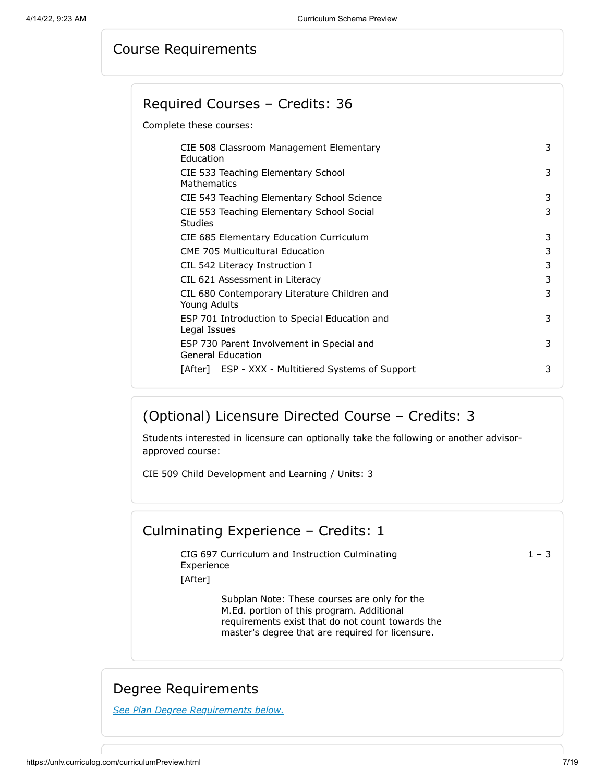#### Course Requirements

#### Required Courses – Credits: 36

Complete these courses:

| CIE 508 Classroom Management Elementary<br>Education<br>CIE 533 Teaching Elementary School<br>Mathematics<br>CIE 543 Teaching Elementary School Science<br>CIE 553 Teaching Elementary School Social<br><b>Studies</b><br>CIE 685 Elementary Education Curriculum<br><b>CME 705 Multicultural Education</b><br>CIL 542 Literacy Instruction I<br>CIL 621 Assessment in Literacy<br>CIL 680 Contemporary Literature Children and<br>Young Adults<br>ESP 701 Introduction to Special Education and<br>Legal Issues<br>ESP 730 Parent Involvement in Special and |   |
|---------------------------------------------------------------------------------------------------------------------------------------------------------------------------------------------------------------------------------------------------------------------------------------------------------------------------------------------------------------------------------------------------------------------------------------------------------------------------------------------------------------------------------------------------------------|---|
|                                                                                                                                                                                                                                                                                                                                                                                                                                                                                                                                                               | 3 |
|                                                                                                                                                                                                                                                                                                                                                                                                                                                                                                                                                               | 3 |
|                                                                                                                                                                                                                                                                                                                                                                                                                                                                                                                                                               | 3 |
|                                                                                                                                                                                                                                                                                                                                                                                                                                                                                                                                                               | 3 |
|                                                                                                                                                                                                                                                                                                                                                                                                                                                                                                                                                               | 3 |
|                                                                                                                                                                                                                                                                                                                                                                                                                                                                                                                                                               | 3 |
|                                                                                                                                                                                                                                                                                                                                                                                                                                                                                                                                                               | 3 |
|                                                                                                                                                                                                                                                                                                                                                                                                                                                                                                                                                               | 3 |
|                                                                                                                                                                                                                                                                                                                                                                                                                                                                                                                                                               | 3 |
|                                                                                                                                                                                                                                                                                                                                                                                                                                                                                                                                                               | 3 |
| <b>General Education</b>                                                                                                                                                                                                                                                                                                                                                                                                                                                                                                                                      | 3 |
| [After] ESP - XXX - Multitiered Systems of Support                                                                                                                                                                                                                                                                                                                                                                                                                                                                                                            | 3 |

## (Optional) Licensure Directed Course – Credits: 3

Students interested in licensure can optionally take the following or another advisorapproved course:

CIE 509 Child Development and Learning / Units: 3

#### Culminating Experience – Credits: 1

CIG 697 Curriculum and Instruction Culminating Experience

 $1 - 3$ 

[After]

Subplan Note: These courses are only for the M.Ed. portion of this program. Additional requirements exist that do not count towards the master's degree that are required for licensure.

#### Degree Requirements

*See Plan Degree Requirements below.*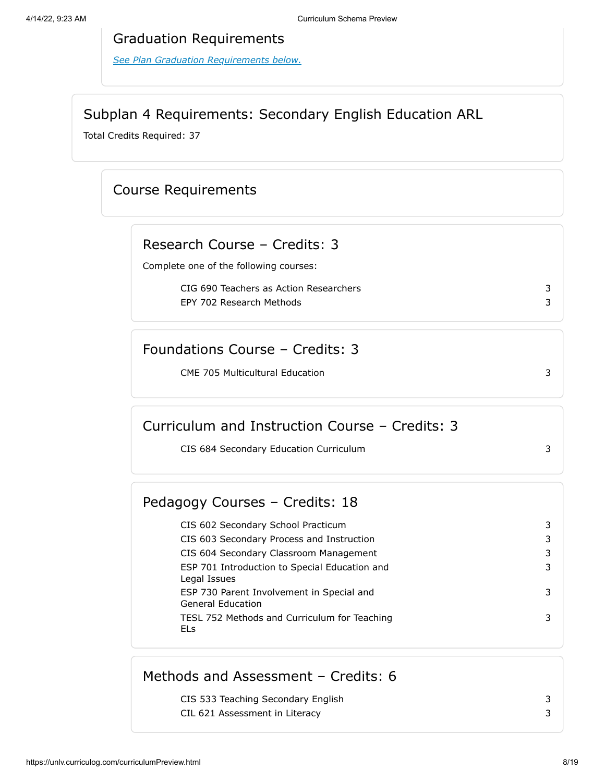#### Graduation Requirements

*[See Plan Graduation Requirements below.](#page-17-0)*

## Subplan 4 Requirements: Secondary English Education ARL

<span id="page-7-0"></span>Total Credits Required: 37

## Course Requirements

#### Research Course – Credits: 3

Complete one of the following courses:

CIG 690 Teachers as Action Researchers 3 EPY 702 Research Methods 3

## Foundations Course – Credits: 3

CME 705 Multicultural Education 3

## Curriculum and Instruction Course – Credits: 3

CIS 684 Secondary Education Curriculum 3

#### Pedagogy Courses – Credits: 18

CIS 602 Secondary School Practicum 3 CIS 603 Secondary Process and Instruction 3 CIS 604 Secondary Classroom Management 3 ESP 701 Introduction to Special Education and Legal Issues 3 ESP 730 Parent Involvement in Special and General Education 3 TESL 752 Methods and Curriculum for Teaching ELs 3

## Methods and Assessment – Credits: 6

CIS 533 Teaching Secondary English 3

CIL 621 Assessment in Literacy 3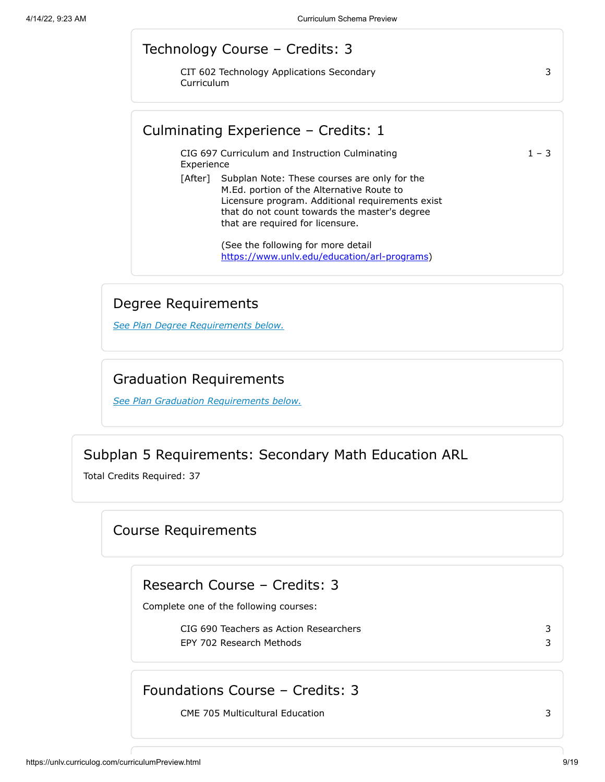#### Technology Course – Credits: 3

CIT 602 Technology Applications Secondary Curriculum

Culminating Experience – Credits: 1

CIG 697 Curriculum and Instruction Culminating Experience

 $1 - 3$ 

3

[After] Subplan Note: These courses are only for the M.Ed. portion of the Alternative Route to Licensure program. Additional requirements exist that do not count towards the master's degree that are required for licensure.

> (See the following for more detail [https://www.unlv.edu/education/arl-programs\)](https://www.unlv.edu/education/arl-programs)

#### Degree Requirements

*See Plan Degree Requirements below.*

#### Graduation Requirements

*[See Plan Graduation Requirements below.](#page-17-0)*

## Subplan 5 Requirements: Secondary Math Education ARL

<span id="page-8-0"></span>Total Credits Required: 37

Course Requirements

Research Course – Credits: 3

Complete one of the following courses:

CIG 690 Teachers as Action Researchers 3 EPY 702 Research Methods 3

## Foundations Course – Credits: 3

CME 705 Multicultural Education 3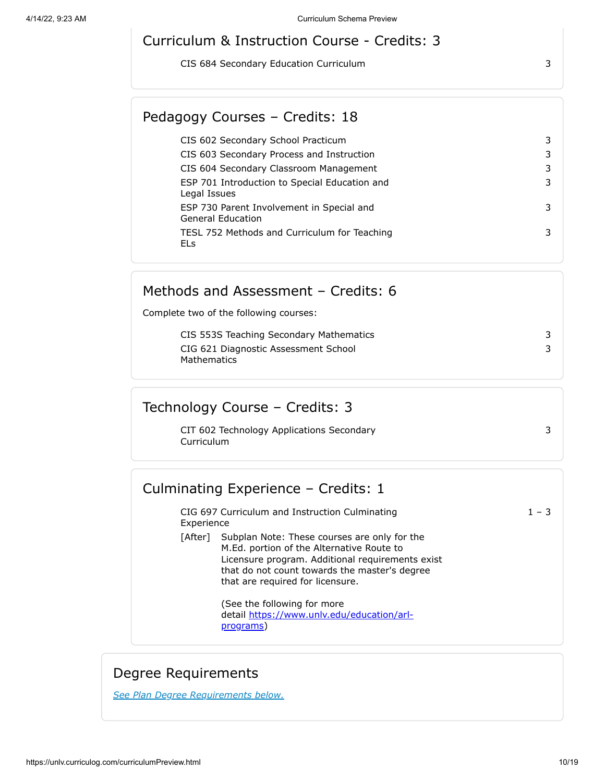#### Curriculum & Instruction Course - Credits: 3

CIS 684 Secondary Education Curriculum 3

## Pedagogy Courses – Credits: 18

| CIS 602 Secondary School Practicum                                    | 3 |
|-----------------------------------------------------------------------|---|
| CIS 603 Secondary Process and Instruction                             | 3 |
| CIS 604 Secondary Classroom Management                                | 3 |
| ESP 701 Introduction to Special Education and<br>Legal Issues         | 3 |
| ESP 730 Parent Involvement in Special and<br><b>General Education</b> | 3 |
| TESL 752 Methods and Curriculum for Teaching<br>ELs                   | 3 |

#### Methods and Assessment – Credits: 6

Complete two of the following courses:

| CIS 553S Teaching Secondary Mathematics |  |
|-----------------------------------------|--|
| CIG 621 Diagnostic Assessment School    |  |
| Mathematics                             |  |

## Technology Course – Credits: 3

CIT 602 Technology Applications Secondary Curriculum

#### Culminating Experience – Credits: 1

CIG 697 Curriculum and Instruction Culminating Experience

[After] Subplan Note: These courses are only for the M.Ed. portion of the Alternative Route to Licensure program. Additional requirements exist that do not count towards the master's degree that are required for licensure.

> (See the following for more detail [https://www.unlv.edu/education/arl](https://www.unlv.edu/education/arl-programs)programs)

## Degree Requirements

*See Plan Degree Requirements below.*

3

 $1 - 3$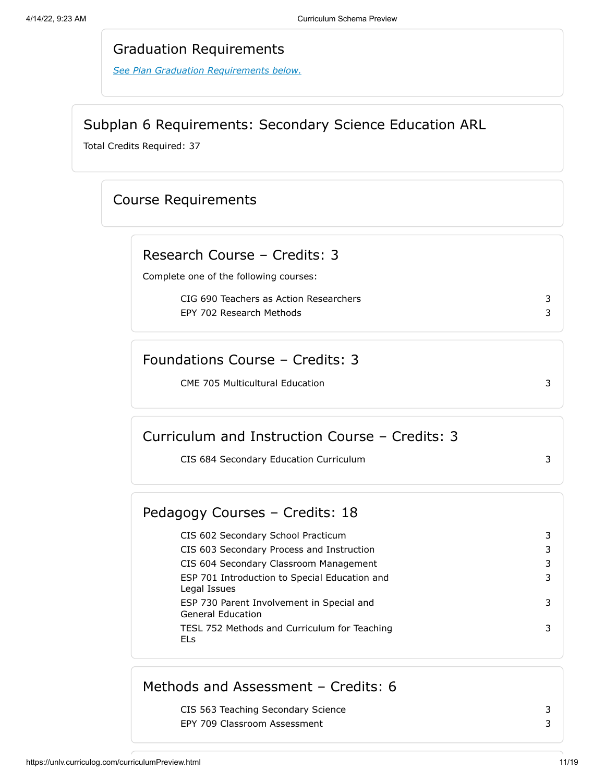#### Graduation Requirements

*[See Plan Graduation Requirements below.](#page-17-0)*

#### Subplan 6 Requirements: Secondary Science Education ARL

<span id="page-10-0"></span>Total Credits Required: 37

## Course Requirements

# Research Course – Credits: 3

Complete one of the following courses:

CIG 690 Teachers as Action Researchers 3 EPY 702 Research Methods 3

#### Foundations Course – Credits: 3

CME 705 Multicultural Education 3

## Curriculum and Instruction Course – Credits: 3

CIS 684 Secondary Education Curriculum 3

## Pedagogy Courses – Credits: 18

CIS 602 Secondary School Practicum 3 CIS 603 Secondary Process and Instruction 3 CIS 604 Secondary Classroom Management 3 ESP 701 Introduction to Special Education and Legal Issues 3 ESP 730 Parent Involvement in Special and General Education 3 TESL 752 Methods and Curriculum for Teaching ELs 3

## Methods and Assessment – Credits: 6

CIS 563 Teaching Secondary Science 3 EPY 709 Classroom Assessment 3 3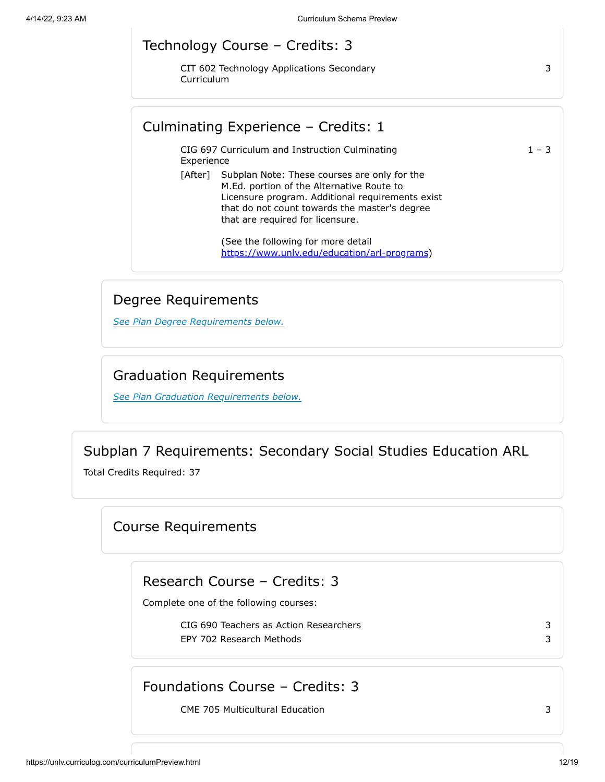# Technology Course – Credits: 3

CIT 602 Technology Applications Secondary Curriculum

#### Culminating Experience – Credits: 1

CIG 697 Curriculum and Instruction Culminating Experience

[After] Subplan Note: These courses are only for the M.Ed. portion of the Alternative Route to Licensure program. Additional requirements exist that do not count towards the master's degree that are required for licensure.

> (See the following for more detail [https://www.unlv.edu/education/arl-programs\)](https://www.unlv.edu/education/arl-programs)

#### Degree Requirements

*See Plan Degree Requirements below.*

#### Graduation Requirements

*[See Plan Graduation Requirements below.](#page-17-0)*

## Subplan 7 Requirements: Secondary Social Studies Education ARL

<span id="page-11-0"></span>Total Credits Required: 37

#### Course Requirements

Research Course – Credits: 3

Complete one of the following courses:

CIG 690 Teachers as Action Researchers 3 EPY 702 Research Methods 3

3

 $1 - 3$ 

#### Foundations Course – Credits: 3

CME 705 Multicultural Education 3

https://unlv.curriculog.com/curriculumPreview.html 12/19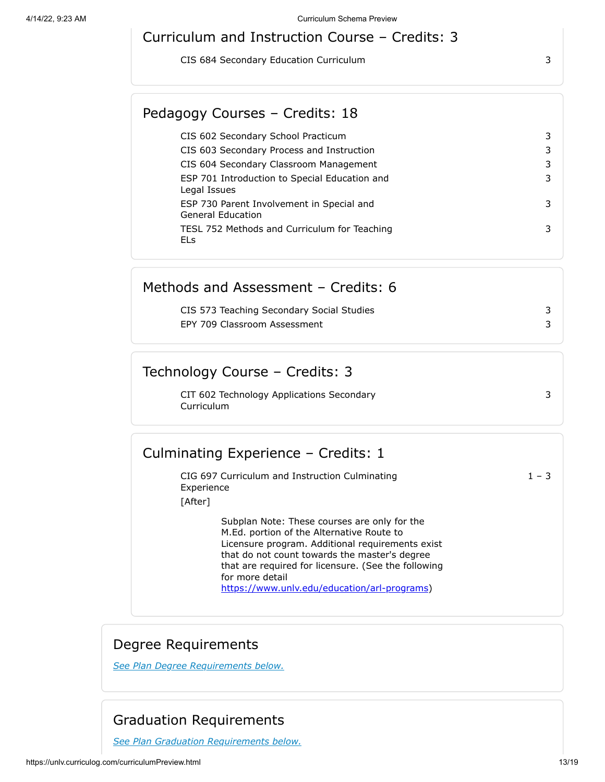## Curriculum and Instruction Course – Credits: 3

CIS 684 Secondary Education Curriculum 3

## Pedagogy Courses – Credits: 18

| CIS 602 Secondary School Practicum                                    | 3 |
|-----------------------------------------------------------------------|---|
| CIS 603 Secondary Process and Instruction                             | 3 |
| CIS 604 Secondary Classroom Management                                | 3 |
| ESP 701 Introduction to Special Education and<br>Legal Issues         | 3 |
| ESP 730 Parent Involvement in Special and<br><b>General Education</b> | 3 |
| TESL 752 Methods and Curriculum for Teaching<br>ELs                   | 3 |

#### Methods and Assessment – Credits: 6

| CIS 573 Teaching Secondary Social Studies |  |
|-------------------------------------------|--|
| EPY 709 Classroom Assessment              |  |

## Technology Course – Credits: 3

CIT 602 Technology Applications Secondary Curriculum

## Culminating Experience – Credits: 1

CIG 697 Curriculum and Instruction Culminating Experience  $1 - 3$ [After]

Subplan Note: These courses are only for the M.Ed. portion of the Alternative Route to Licensure program. Additional requirements exist that do not count towards the master's degree that are required for licensure. (See the following for more detail [https://www.unlv.edu/education/arl-programs\)](https://www.unlv.edu/education/arl-programs)

## Degree Requirements

*See Plan Degree Requirements below.*

# Graduation Requirements

*[See Plan Graduation Requirements below.](#page-17-0)*

3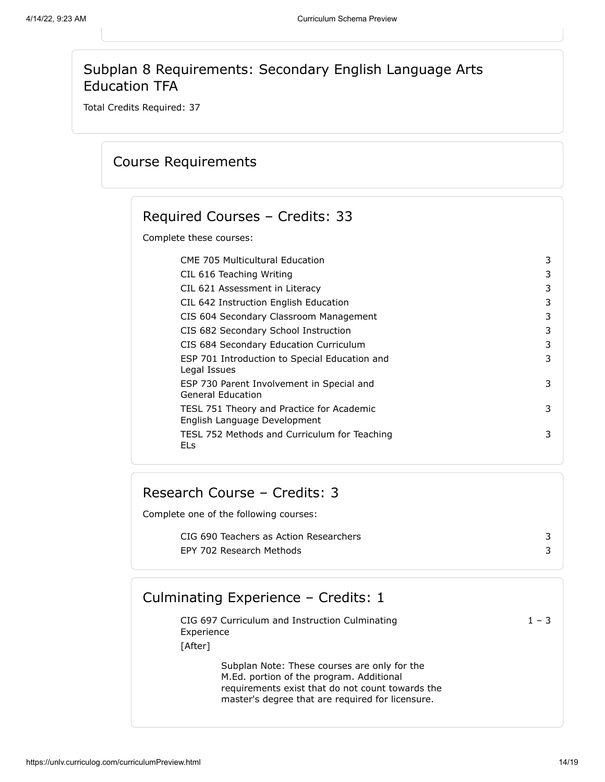## Subplan 8 Requirements: Secondary English Language Arts Education TFA

<span id="page-13-0"></span>Total Credits Required: 37

## Course Requirements

# Required Courses – Credits: 33

Complete these courses:

| <b>CME 705 Multicultural Education</b>                                    | 3 |
|---------------------------------------------------------------------------|---|
| CIL 616 Teaching Writing                                                  | 3 |
| CIL 621 Assessment in Literacy                                            | 3 |
| CIL 642 Instruction English Education                                     | 3 |
| CIS 604 Secondary Classroom Management                                    | 3 |
| CIS 682 Secondary School Instruction                                      | 3 |
| CIS 684 Secondary Education Curriculum                                    | 3 |
| ESP 701 Introduction to Special Education and<br>Legal Issues             | 3 |
| ESP 730 Parent Involvement in Special and<br>General Education            | 3 |
| TESL 751 Theory and Practice for Academic<br>English Language Development | 3 |
| TESL 752 Methods and Curriculum for Teaching<br>ELs                       | 3 |
|                                                                           |   |

## Research Course – Credits: 3

Complete one of the following courses:

CIG 690 Teachers as Action Researchers 3 EPY 702 Research Methods 3

## Culminating Experience – Credits: 1

| CIG 697 Curriculum and Instruction Culminating | $1 - 3$ |
|------------------------------------------------|---------|
| Experience                                     |         |
| [After]                                        |         |
| Cultula Mater These servesse and sub-factbe    |         |

Subplan Note: These courses are only for the M.Ed. portion of the program. Additional requirements exist that do not count towards the master's degree that are required for licensure.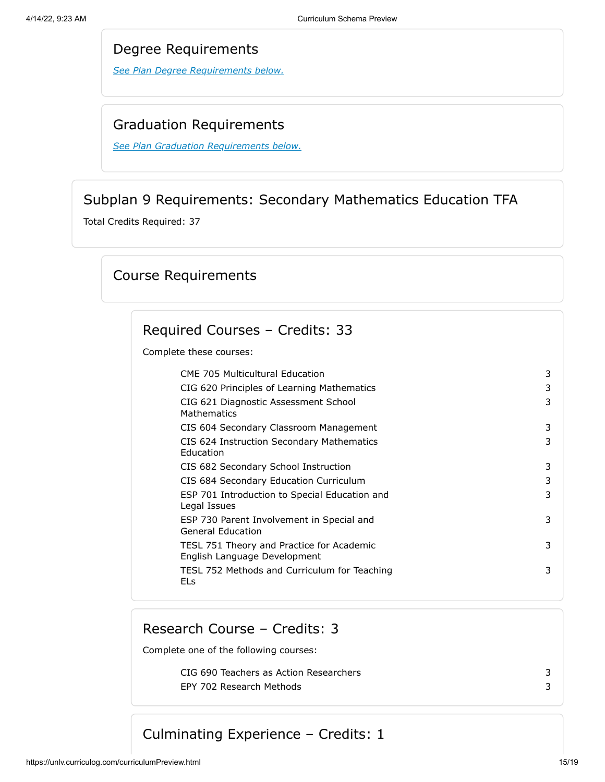#### Degree Requirements

*See Plan Degree Requirements below.*

#### Graduation Requirements

*[See Plan Graduation Requirements below.](#page-17-0)*

## Subplan 9 Requirements: Secondary Mathematics Education TFA

<span id="page-14-0"></span>Total Credits Required: 37

## Course Requirements

## Required Courses – Credits: 33

Complete these courses:

| <b>CME 705 Multicultural Education</b>                                    | 3 |
|---------------------------------------------------------------------------|---|
| CIG 620 Principles of Learning Mathematics                                | 3 |
| CIG 621 Diagnostic Assessment School<br><b>Mathematics</b>                | 3 |
| CIS 604 Secondary Classroom Management                                    | 3 |
| CIS 624 Instruction Secondary Mathematics<br>Education                    | 3 |
| CIS 682 Secondary School Instruction                                      | 3 |
| CIS 684 Secondary Education Curriculum                                    | 3 |
| ESP 701 Introduction to Special Education and<br>Legal Issues             | 3 |
| ESP 730 Parent Involvement in Special and<br><b>General Education</b>     | 3 |
| TESL 751 Theory and Practice for Academic<br>English Language Development | 3 |
| TESL 752 Methods and Curriculum for Teaching<br>ELs                       | 3 |
|                                                                           |   |

## Research Course – Credits: 3

Complete one of the following courses:

CIG 690 Teachers as Action Researchers 3 EPY 702 Research Methods 3

Culminating Experience – Credits: 1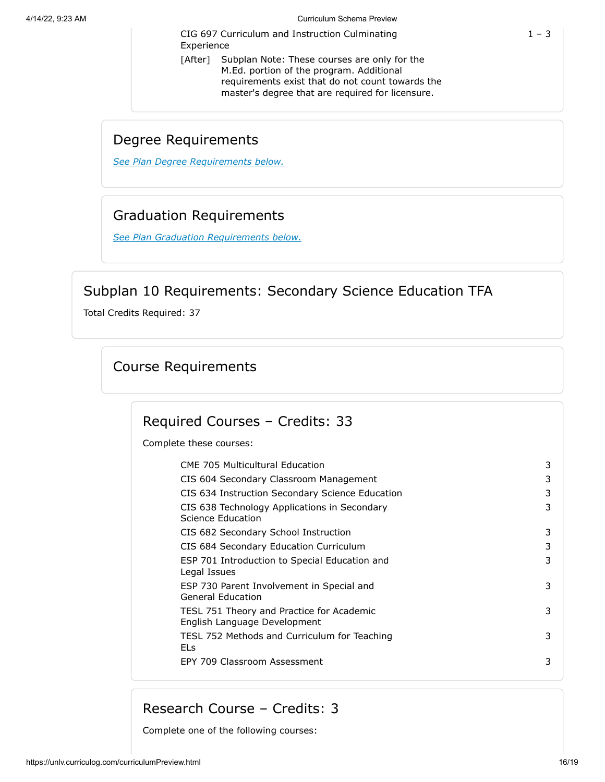CIG 697 Curriculum and Instruction Culminating Experience

[After] Subplan Note: These courses are only for the M.Ed. portion of the program. Additional requirements exist that do not count towards the master's degree that are required for licensure.

## Degree Requirements

*See Plan Degree Requirements below.*

## Graduation Requirements

*[See Plan Graduation Requirements below.](#page-17-0)*

## Subplan 10 Requirements: Secondary Science Education TFA

<span id="page-15-0"></span>Total Credits Required: 37

## Course Requirements

## Required Courses – Credits: 33

Complete these courses:

| <b>CME 705 Multicultural Education</b>                                    | 3 |
|---------------------------------------------------------------------------|---|
| CIS 604 Secondary Classroom Management                                    | 3 |
| CIS 634 Instruction Secondary Science Education                           | 3 |
| CIS 638 Technology Applications in Secondary<br>Science Education         | 3 |
| CIS 682 Secondary School Instruction                                      | 3 |
| CIS 684 Secondary Education Curriculum                                    | 3 |
| ESP 701 Introduction to Special Education and<br>Legal Issues             | 3 |
| ESP 730 Parent Involvement in Special and<br><b>General Education</b>     | 3 |
| TESL 751 Theory and Practice for Academic<br>English Language Development | 3 |
| TESL 752 Methods and Curriculum for Teaching<br><b>ELs</b>                | 3 |
| EPY 709 Classroom Assessment                                              | 3 |
|                                                                           |   |

## Research Course – Credits: 3

Complete one of the following courses: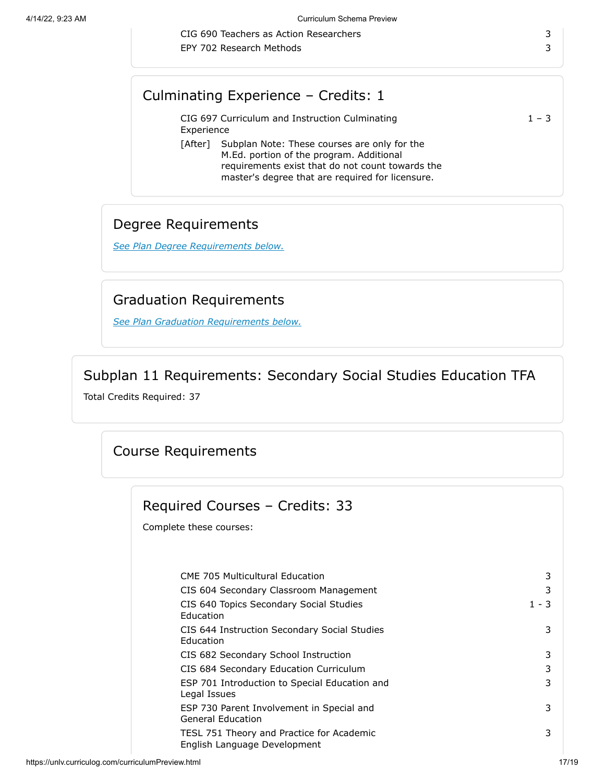CIG 690 Teachers as Action Researchers 3 EPY 702 Research Methods 3

## Culminating Experience – Credits: 1

CIG 697 Curriculum and Instruction Culminating Experience  $1 - 3$ [After] Subplan Note: These courses are only for the M.Ed. portion of the program. Additional requirements exist that do not count towards the

master's degree that are required for licensure.

## Degree Requirements

*See Plan Degree Requirements below.*

## Graduation Requirements

*[See Plan Graduation Requirements below.](#page-17-0)*

## Subplan 11 Requirements: Secondary Social Studies Education TFA

<span id="page-16-0"></span>Total Credits Required: 37

## Course Requirements

| Required Courses - Credits: 33                                            |         |
|---------------------------------------------------------------------------|---------|
| Complete these courses:                                                   |         |
|                                                                           |         |
| <b>CME 705 Multicultural Education</b>                                    | 3       |
| CIS 604 Secondary Classroom Management                                    | 3       |
|                                                                           |         |
| CIS 640 Topics Secondary Social Studies<br>Education                      | $1 - 3$ |
| CIS 644 Instruction Secondary Social Studies<br><b>Education</b>          | 3       |
| CIS 682 Secondary School Instruction                                      | 3       |
| CIS 684 Secondary Education Curriculum                                    | 3       |
| ESP 701 Introduction to Special Education and<br>Legal Issues             | 3       |
| ESP 730 Parent Involvement in Special and<br><b>General Education</b>     | 3       |
| TESL 751 Theory and Practice for Academic<br>English Language Development | 3       |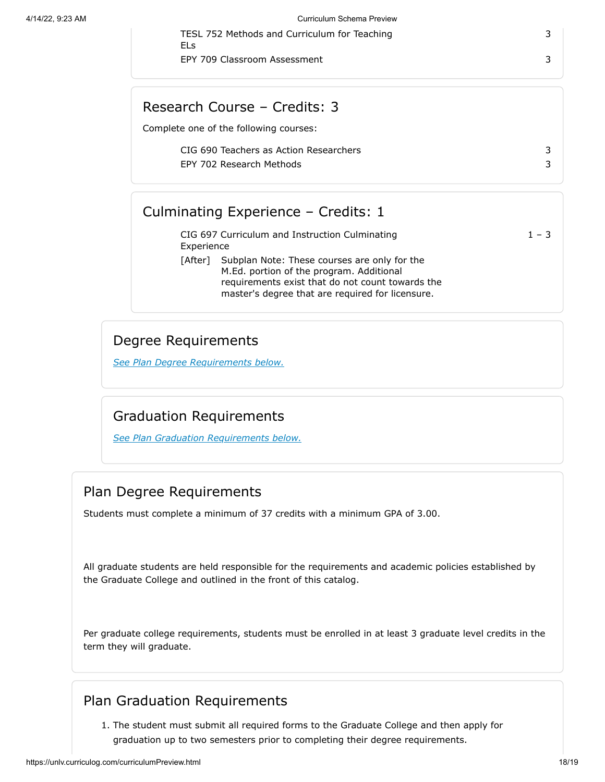| TESL 752 Methods and Curriculum for Teaching |  |  |  |
|----------------------------------------------|--|--|--|
| ELs                                          |  |  |  |
|                                              |  |  |  |

EPY 709 Classroom Assessment 3 3

## Research Course – Credits: 3

Complete one of the following courses:

CIG 690 Teachers as Action Researchers 3 EPY 702 Research Methods 3

## Culminating Experience – Credits: 1

|            | CIG 697 Curriculum and Instruction Culminating                                                   | $1 - 3$ |
|------------|--------------------------------------------------------------------------------------------------|---------|
| Experience |                                                                                                  |         |
|            | [After] Subplan Note: These courses are only for the<br>M.Ed. portion of the program. Additional |         |

requirements exist that do not count towards the master's degree that are required for licensure.

## Degree Requirements

*See Plan Degree Requirements below.*

## Graduation Requirements

*[See Plan Graduation Requirements below.](#page-17-0)*

## Plan Degree Requirements

Students must complete a minimum of 37 credits with a minimum GPA of 3.00.

All graduate students are held responsible for the requirements and academic policies established by the Graduate College and outlined in the front of this catalog.

Per graduate college requirements, students must be enrolled in at least 3 graduate level credits in the term they will graduate.

## Plan Graduation Requirements

<span id="page-17-0"></span>1. The student must submit all required forms to the Graduate College and then apply for graduation up to two semesters prior to completing their degree requirements.